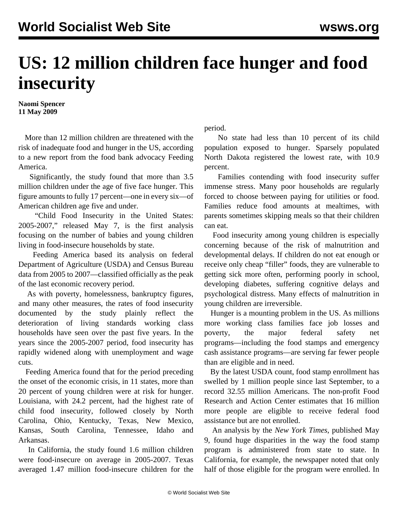## **US: 12 million children face hunger and food insecurity**

**Naomi Spencer 11 May 2009**

 More than 12 million children are threatened with the risk of inadequate food and hunger in the US, according to a new report from the food bank advocacy Feeding America.

 Significantly, the study found that more than 3.5 million children under the age of five face hunger. This figure amounts to fully 17 percent—one in every six—of American children age five and under.

 ["Child Food Insecurity in the United States:](http://feedingamerica.org/our-network/the-studies/child-food-insecurity.aspx) [2005-2007,"](http://feedingamerica.org/our-network/the-studies/child-food-insecurity.aspx) released May 7, is the first analysis focusing on the number of babies and young children living in food-insecure households by state.

 Feeding America based its analysis on federal Department of Agriculture (USDA) and Census Bureau data from 2005 to 2007—classified officially as the peak of the last economic recovery period.

 As with poverty, homelessness, bankruptcy figures, and many other measures, the rates of food insecurity documented by the study plainly reflect the deterioration of living standards working class households have seen over the past five years. In the years since the 2005-2007 period, food insecurity has rapidly widened along with unemployment and wage cuts.

 Feeding America found that for the period preceding the onset of the economic crisis, in 11 states, more than 20 percent of young children were at risk for hunger. Louisiana, with 24.2 percent, had the highest rate of child food insecurity, followed closely by North Carolina, Ohio, Kentucky, Texas, New Mexico, Kansas, South Carolina, Tennessee, Idaho and Arkansas.

 In California, the study found 1.6 million children were food-insecure on average in 2005-2007. Texas averaged 1.47 million food-insecure children for the period.

 No state had less than 10 percent of its child population exposed to hunger. Sparsely populated North Dakota registered the lowest rate, with 10.9 percent.

 Families contending with food insecurity suffer immense stress. Many poor households are regularly forced to choose between paying for utilities or food. Families reduce food amounts at mealtimes, with parents sometimes skipping meals so that their children can eat.

 Food insecurity among young children is especially concerning because of the risk of malnutrition and developmental delays. If children do not eat enough or receive only cheap "filler" foods, they are vulnerable to getting sick more often, performing poorly in school, developing diabetes, suffering cognitive delays and psychological distress. Many effects of malnutrition in young children are irreversible.

 Hunger is a mounting problem in the US. As millions more working class families face job losses and poverty, the major federal safety net programs—including the food stamps and emergency cash assistance programs—are serving far fewer people than are eligible and in need.

 By the latest USDA count, food stamp enrollment has swelled by 1 million people since last September, to a record 32.55 million Americans. The non-profit Food Research and Action Center estimates that 16 million more people are eligible to receive federal food assistance but are not enrolled.

 An analysis by the *New York Times*, published May 9, found huge disparities in the way the food stamp program is administered from state to state. In California, for example, the newspaper noted that only half of those eligible for the program were enrolled. In